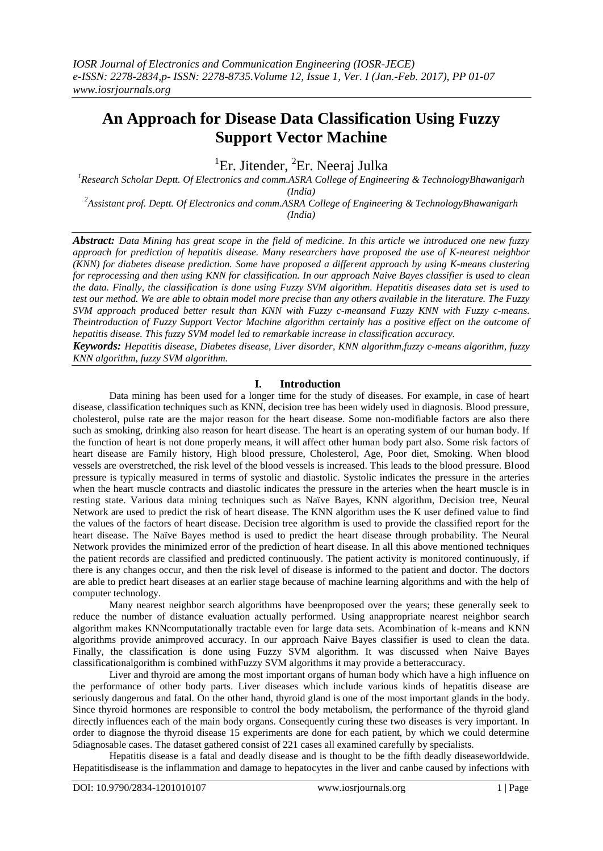# **An Approach for Disease Data Classification Using Fuzzy Support Vector Machine**

<sup>1</sup>Er. Jitender, <sup>2</sup>Er. Neeraj Julka

*<sup>1</sup>Research Scholar Deptt. Of Electronics and comm.ASRA College of Engineering & TechnologyBhawanigarh (India)*

*<sup>2</sup>Assistant prof. Deptt. Of Electronics and comm.ASRA College of Engineering & TechnologyBhawanigarh (India)*

*Abstract: Data Mining has great scope in the field of medicine. In this article we introduced one new fuzzy approach for prediction of hepatitis disease. Many researchers have proposed the use of K-nearest neighbor (KNN) for diabetes disease prediction. Some have proposed a different approach by using K-means clustering for reprocessing and then using KNN for classification. In our approach Naive Bayes classifier is used to clean the data. Finally, the classification is done using Fuzzy SVM algorithm. Hepatitis diseases data set is used to test our method. We are able to obtain model more precise than any others available in the literature. The Fuzzy SVM approach produced better result than KNN with Fuzzy c-meansand Fuzzy KNN with Fuzzy c-means. Theintroduction of Fuzzy Support Vector Machine algorithm certainly has a positive effect on the outcome of hepatitis disease. This fuzzy SVM model led to remarkable increase in classification accuracy.*

*Keywords: Hepatitis disease, Diabetes disease, Liver disorder, KNN algorithm,fuzzy c-means algorithm, fuzzy KNN algorithm, fuzzy SVM algorithm.*

# **I. Introduction**

Data mining has been used for a longer time for the study of diseases. For example, in case of heart disease, classification techniques such as KNN, decision tree has been widely used in diagnosis. Blood pressure, cholesterol, pulse rate are the major reason for the heart disease. Some non-modifiable factors are also there such as smoking, drinking also reason for heart disease. The heart is an operating system of our human body. If the function of heart is not done properly means, it will affect other human body part also. Some risk factors of heart disease are Family history, High blood pressure, Cholesterol, Age, Poor diet, Smoking. When blood vessels are overstretched, the risk level of the blood vessels is increased. This leads to the blood pressure. Blood pressure is typically measured in terms of systolic and diastolic. Systolic indicates the pressure in the arteries when the heart muscle contracts and diastolic indicates the pressure in the arteries when the heart muscle is in resting state. Various data mining techniques such as Naïve Bayes, KNN algorithm, Decision tree, Neural Network are used to predict the risk of heart disease. The KNN algorithm uses the K user defined value to find the values of the factors of heart disease. Decision tree algorithm is used to provide the classified report for the heart disease. The Naïve Bayes method is used to predict the heart disease through probability. The Neural Network provides the minimized error of the prediction of heart disease. In all this above mentioned techniques the patient records are classified and predicted continuously. The patient activity is monitored continuously, if there is any changes occur, and then the risk level of disease is informed to the patient and doctor. The doctors are able to predict heart diseases at an earlier stage because of machine learning algorithms and with the help of computer technology.

Many nearest neighbor search algorithms have beenproposed over the years; these generally seek to reduce the number of distance evaluation actually performed. Using anappropriate nearest neighbor search algorithm makes KNNcomputationally tractable even for large data sets. Acombination of k-means and KNN algorithms provide animproved accuracy. In our approach Naive Bayes classifier is used to clean the data. Finally, the classification is done using Fuzzy SVM algorithm. It was discussed when Naive Bayes classificationalgorithm is combined withFuzzy SVM algorithms it may provide a betteraccuracy.

Liver and thyroid are among the most important organs of human body which have a high influence on the performance of other body parts. Liver diseases which include various kinds of hepatitis disease are seriously dangerous and fatal. On the other hand, thyroid gland is one of the most important glands in the body. Since thyroid hormones are responsible to control the body metabolism, the performance of the thyroid gland directly influences each of the main body organs. Consequently curing these two diseases is very important. In order to diagnose the thyroid disease 15 experiments are done for each patient, by which we could determine 5diagnosable cases. The dataset gathered consist of 221 cases all examined carefully by specialists.

Hepatitis disease is a fatal and deadly disease and is thought to be the fifth deadly diseaseworldwide. Hepatitisdisease is the inflammation and damage to hepatocytes in the liver and canbe caused by infections with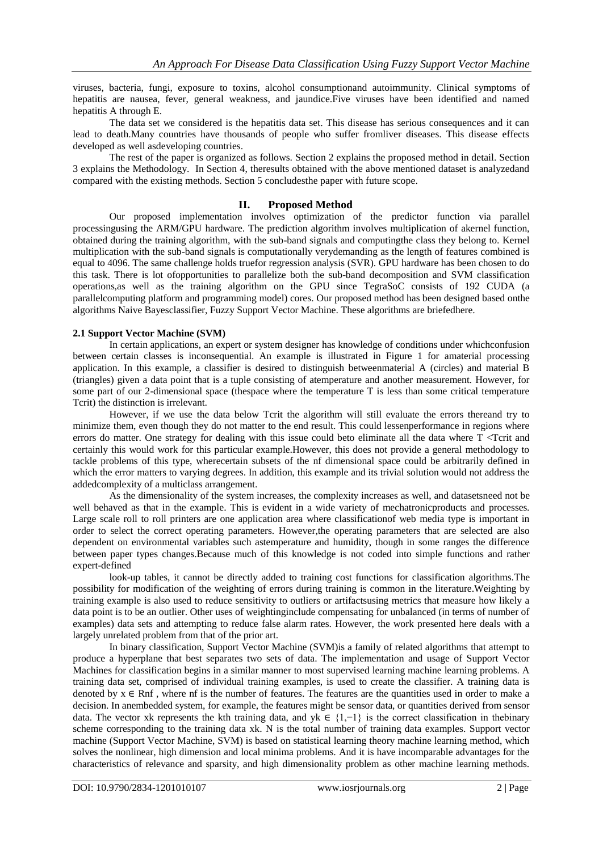viruses, bacteria, fungi, exposure to toxins, alcohol consumptionand autoimmunity. Clinical symptoms of hepatitis are nausea, fever, general weakness, and jaundice.Five viruses have been identified and named hepatitis A through E.

The data set we considered is the hepatitis data set. This disease has serious consequences and it can lead to death.Many countries have thousands of people who suffer fromliver diseases. This disease effects developed as well asdeveloping countries.

The rest of the paper is organized as follows. Section 2 explains the proposed method in detail. Section 3 explains the Methodology. In Section 4, theresults obtained with the above mentioned dataset is analyzedand compared with the existing methods. Section 5 concludesthe paper with future scope.

### **II. Proposed Method**

Our proposed implementation involves optimization of the predictor function via parallel processingusing the ARM/GPU hardware. The prediction algorithm involves multiplication of akernel function, obtained during the training algorithm, with the sub-band signals and computingthe class they belong to. Kernel multiplication with the sub-band signals is computationally verydemanding as the length of features combined is equal to 4096. The same challenge holds truefor regression analysis (SVR). GPU hardware has been chosen to do this task. There is lot ofopportunities to parallelize both the sub-band decomposition and SVM classification operations,as well as the training algorithm on the GPU since TegraSoC consists of 192 CUDA (a parallelcomputing platform and programming model) cores. Our proposed method has been designed based onthe algorithms Naive Bayesclassifier, Fuzzy Support Vector Machine. These algorithms are briefedhere.

# **2.1 Support Vector Machine (SVM)**

In certain applications, an expert or system designer has knowledge of conditions under whichconfusion between certain classes is inconsequential. An example is illustrated in Figure 1 for amaterial processing application. In this example, a classifier is desired to distinguish betweenmaterial A (circles) and material B (triangles) given a data point that is a tuple consisting of atemperature and another measurement. However, for some part of our 2-dimensional space (thespace where the temperature T is less than some critical temperature Tcrit) the distinction is irrelevant.

However, if we use the data below Tcrit the algorithm will still evaluate the errors thereand try to minimize them, even though they do not matter to the end result. This could lessenperformance in regions where errors do matter. One strategy for dealing with this issue could beto eliminate all the data where  $T <$ Tcrit and certainly this would work for this particular example.However, this does not provide a general methodology to tackle problems of this type, wherecertain subsets of the nf dimensional space could be arbitrarily defined in which the error matters to varying degrees. In addition, this example and its trivial solution would not address the addedcomplexity of a multiclass arrangement.

As the dimensionality of the system increases, the complexity increases as well, and datasetsneed not be well behaved as that in the example. This is evident in a wide variety of mechatronicproducts and processes. Large scale roll to roll printers are one application area where classificationof web media type is important in order to select the correct operating parameters. However,the operating parameters that are selected are also dependent on environmental variables such astemperature and humidity, though in some ranges the difference between paper types changes.Because much of this knowledge is not coded into simple functions and rather expert-defined

look-up tables, it cannot be directly added to training cost functions for classification algorithms.The possibility for modification of the weighting of errors during training is common in the literature.Weighting by training example is also used to reduce sensitivity to outliers or artifactsusing metrics that measure how likely a data point is to be an outlier. Other uses of weightinginclude compensating for unbalanced (in terms of number of examples) data sets and attempting to reduce false alarm rates. However, the work presented here deals with a largely unrelated problem from that of the prior art.

In binary classification, Support Vector Machine (SVM)is a family of related algorithms that attempt to produce a hyperplane that best separates two sets of data. The implementation and usage of Support Vector Machines for classification begins in a similar manner to most supervised learning machine learning problems. A training data set, comprised of individual training examples, is used to create the classifier. A training data is denoted by  $x \in R$ nf, where nf is the number of features. The features are the quantities used in order to make a decision. In anembedded system, for example, the features might be sensor data, or quantities derived from sensor data. The vector xk represents the kth training data, and yk ∈ {1,−1} is the correct classification in thebinary scheme corresponding to the training data xk. N is the total number of training data examples. Support vector machine (Support Vector Machine, SVM) is based on statistical learning theory machine learning method, which solves the nonlinear, high dimension and local minima problems. And it is have incomparable advantages for the characteristics of relevance and sparsity, and high dimensionality problem as other machine learning methods.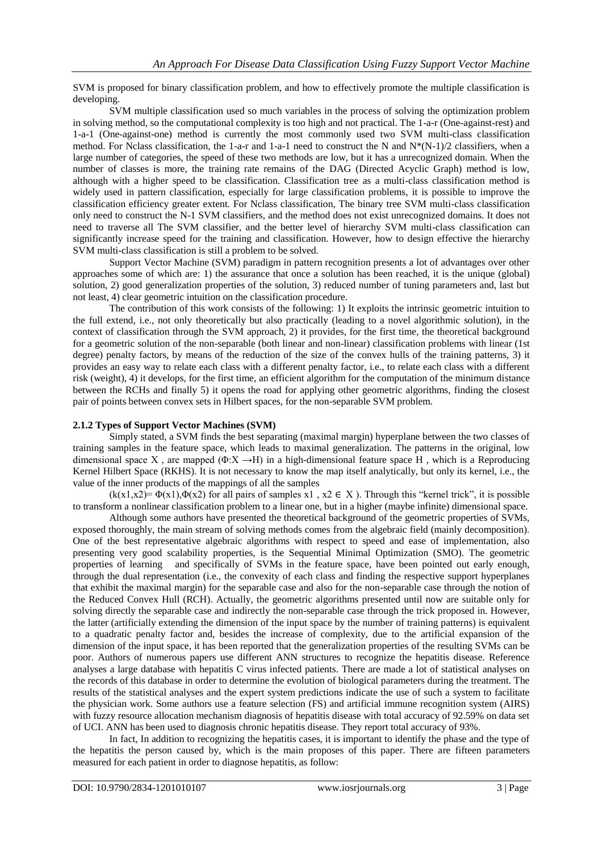SVM is proposed for binary classification problem, and how to effectively promote the multiple classification is developing.

SVM multiple classification used so much variables in the process of solving the optimization problem in solving method, so the computational complexity is too high and not practical. The 1-a-r (One-against-rest) and 1-a-1 (One-against-one) method is currently the most commonly used two SVM multi-class classification method. For Nclass classification, the 1-a-r and 1-a-1 need to construct the N and  $N*(N-1)/2$  classifiers, when a large number of categories, the speed of these two methods are low, but it has a unrecognized domain. When the number of classes is more, the training rate remains of the DAG (Directed Acyclic Graph) method is low, although with a higher speed to be classification. Classification tree as a multi-class classification method is widely used in pattern classification, especially for large classification problems, it is possible to improve the classification efficiency greater extent. For Nclass classification, The binary tree SVM multi-class classification only need to construct the N-1 SVM classifiers, and the method does not exist unrecognized domains. It does not need to traverse all The SVM classifier, and the better level of hierarchy SVM multi-class classification can significantly increase speed for the training and classification. However, how to design effective the hierarchy SVM multi-class classification is still a problem to be solved.

Support Vector Machine (SVM) paradigm in pattern recognition presents a lot of advantages over other approaches some of which are: 1) the assurance that once a solution has been reached, it is the unique (global) solution, 2) good generalization properties of the solution, 3) reduced number of tuning parameters and, last but not least, 4) clear geometric intuition on the classification procedure.

The contribution of this work consists of the following: 1) It exploits the intrinsic geometric intuition to the full extend, i.e., not only theoretically but also practically (leading to a novel algorithmic solution), in the context of classification through the SVM approach, 2) it provides, for the first time, the theoretical background for a geometric solution of the non-separable (both linear and non-linear) classification problems with linear (1st degree) penalty factors, by means of the reduction of the size of the convex hulls of the training patterns, 3) it provides an easy way to relate each class with a different penalty factor, i.e., to relate each class with a different risk (weight), 4) it develops, for the first time, an efficient algorithm for the computation of the minimum distance between the RCHs and finally 5) it opens the road for applying other geometric algorithms, finding the closest pair of points between convex sets in Hilbert spaces, for the non-separable SVM problem.

### **2.1.2 Types of Support Vector Machines (SVM)**

Simply stated, a SVM finds the best separating (maximal margin) hyperplane between the two classes of training samples in the feature space, which leads to maximal generalization. The patterns in the original, low dimensional space X, are mapped ( $\Phi$ :X  $\rightarrow$ H) in a high-dimensional feature space H, which is a Reproducing Kernel Hilbert Space (RKHS). It is not necessary to know the map itself analytically, but only its kernel, i.e., the value of the inner products of the mappings of all the samples

 $(k(x1,x2)= \Phi(x1), \Phi(x2)$  for all pairs of samples x1,  $x2 \in X$ ). Through this "kernel trick", it is possible to transform a nonlinear classification problem to a linear one, but in a higher (maybe infinite) dimensional space.

Although some authors have presented the theoretical background of the geometric properties of SVMs, exposed thoroughly, the main stream of solving methods comes from the algebraic field (mainly decomposition). One of the best representative algebraic algorithms with respect to speed and ease of implementation, also presenting very good scalability properties, is the Sequential Minimal Optimization (SMO). The geometric properties of learning and specifically of SVMs in the feature space, have been pointed out early enough, through the dual representation (i.e., the convexity of each class and finding the respective support hyperplanes that exhibit the maximal margin) for the separable case and also for the non-separable case through the notion of the Reduced Convex Hull (RCH). Actually, the geometric algorithms presented until now are suitable only for solving directly the separable case and indirectly the non-separable case through the trick proposed in. However, the latter (artificially extending the dimension of the input space by the number of training patterns) is equivalent to a quadratic penalty factor and, besides the increase of complexity, due to the artificial expansion of the dimension of the input space, it has been reported that the generalization properties of the resulting SVMs can be poor. Authors of numerous papers use different ANN structures to recognize the hepatitis disease. Reference analyses a large database with hepatitis C virus infected patients. There are made a lot of statistical analyses on the records of this database in order to determine the evolution of biological parameters during the treatment. The results of the statistical analyses and the expert system predictions indicate the use of such a system to facilitate the physician work. Some authors use a feature selection (FS) and artificial immune recognition system (AIRS) with fuzzy resource allocation mechanism diagnosis of hepatitis disease with total accuracy of 92.59% on data set of UCI. ANN has been used to diagnosis chronic hepatitis disease. They report total accuracy of 93%.

In fact, In addition to recognizing the hepatitis cases, it is important to identify the phase and the type of the hepatitis the person caused by, which is the main proposes of this paper. There are fifteen parameters measured for each patient in order to diagnose hepatitis, as follow: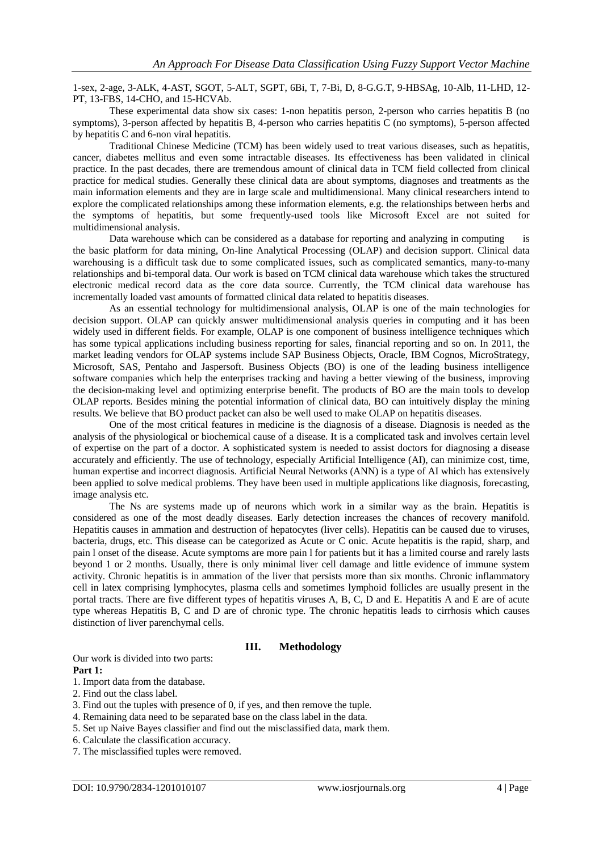1-sex, 2-age, 3-ALK, 4-AST, SGOT, 5-ALT, SGPT, 6Bi, T, 7-Bi, D, 8-G.G.T, 9-HBSAg, 10-Alb, 11-LHD, 12- PT, 13-FBS, 14-CHO, and 15-HCVAb.

These experimental data show six cases: 1-non hepatitis person, 2-person who carries hepatitis B (no symptoms), 3-person affected by hepatitis B, 4-person who carries hepatitis C (no symptoms), 5-person affected by hepatitis C and 6-non viral hepatitis.

Traditional Chinese Medicine (TCM) has been widely used to treat various diseases, such as hepatitis, cancer, diabetes mellitus and even some intractable diseases. Its effectiveness has been validated in clinical practice. In the past decades, there are tremendous amount of clinical data in TCM field collected from clinical practice for medical studies. Generally these clinical data are about symptoms, diagnoses and treatments as the main information elements and they are in large scale and multidimensional. Many clinical researchers intend to explore the complicated relationships among these information elements, e.g. the relationships between herbs and the symptoms of hepatitis, but some frequently-used tools like Microsoft Excel are not suited for multidimensional analysis.

Data warehouse which can be considered as a database for reporting and analyzing in computing is the basic platform for data mining, On-line Analytical Processing (OLAP) and decision support. Clinical data warehousing is a difficult task due to some complicated issues, such as complicated semantics, many-to-many relationships and bi-temporal data. Our work is based on TCM clinical data warehouse which takes the structured electronic medical record data as the core data source. Currently, the TCM clinical data warehouse has incrementally loaded vast amounts of formatted clinical data related to hepatitis diseases.

As an essential technology for multidimensional analysis, OLAP is one of the main technologies for decision support. OLAP can quickly answer multidimensional analysis queries in computing and it has been widely used in different fields. For example, OLAP is one component of business intelligence techniques which has some typical applications including business reporting for sales, financial reporting and so on. In 2011, the market leading vendors for OLAP systems include SAP Business Objects, Oracle, IBM Cognos, MicroStrategy, Microsoft, SAS, Pentaho and Jaspersoft. Business Objects (BO) is one of the leading business intelligence software companies which help the enterprises tracking and having a better viewing of the business, improving the decision-making level and optimizing enterprise benefit. The products of BO are the main tools to develop OLAP reports. Besides mining the potential information of clinical data, BO can intuitively display the mining results. We believe that BO product packet can also be well used to make OLAP on hepatitis diseases.

One of the most critical features in medicine is the diagnosis of a disease. Diagnosis is needed as the analysis of the physiological or biochemical cause of a disease. It is a complicated task and involves certain level of expertise on the part of a doctor. A sophisticated system is needed to assist doctors for diagnosing a disease accurately and efficiently. The use of technology, especially Artificial Intelligence (AI), can minimize cost, time, human expertise and incorrect diagnosis. Artificial Neural Networks (ANN) is a type of AI which has extensively been applied to solve medical problems. They have been used in multiple applications like diagnosis, forecasting, image analysis etc.

The Ns are systems made up of neurons which work in a similar way as the brain. Hepatitis is considered as one of the most deadly diseases. Early detection increases the chances of recovery manifold. Hepatitis causes in ammation and destruction of hepatocytes (liver cells). Hepatitis can be caused due to viruses, bacteria, drugs, etc. This disease can be categorized as Acute or C onic. Acute hepatitis is the rapid, sharp, and pain l onset of the disease. Acute symptoms are more pain l for patients but it has a limited course and rarely lasts beyond 1 or 2 months. Usually, there is only minimal liver cell damage and little evidence of immune system activity. Chronic hepatitis is in ammation of the liver that persists more than six months. Chronic inflammatory cell in latex comprising lymphocytes, plasma cells and sometimes lymphoid follicles are usually present in the portal tracts. There are five different types of hepatitis viruses A, B, C, D and E. Hepatitis A and E are of acute type whereas Hepatitis B, C and D are of chronic type. The chronic hepatitis leads to cirrhosis which causes distinction of liver parenchymal cells.

# **III. Methodology**

Our work is divided into two parts: **Part 1:**

- 1. Import data from the database.
- 2. Find out the class label.
- 3. Find out the tuples with presence of 0, if yes, and then remove the tuple.
- 4. Remaining data need to be separated base on the class label in the data.
- 5. Set up Naive Bayes classifier and find out the misclassified data, mark them.
- 6. Calculate the classification accuracy.
- 7. The misclassified tuples were removed.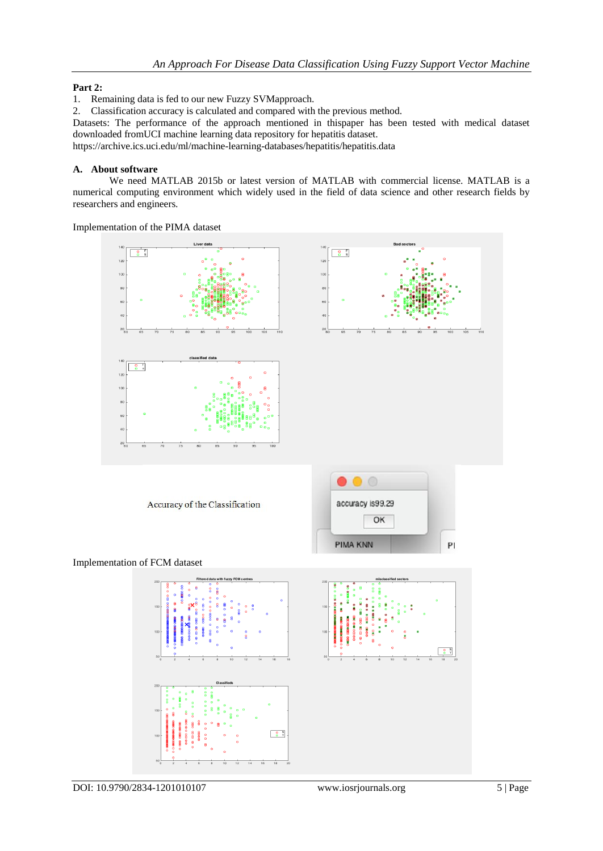# **Part 2:**

1. Remaining data is fed to our new Fuzzy SVMapproach.

2. Classification accuracy is calculated and compared with the previous method.

Datasets: The performance of the approach mentioned in thispaper has been tested with medical dataset downloaded fromUCI machine learning data repository for hepatitis dataset.

<https://archive.ics.uci.edu/ml/machine-learning-databases/hepatitis/hepatitis.data>

# **A. About software**

We need MATLAB 2015b or latest version of MATLAB with commercial license. MATLAB is a numerical computing environment which widely used in the field of data science and other research fields by researchers and engineers.

Implementation of the PIMA dataset

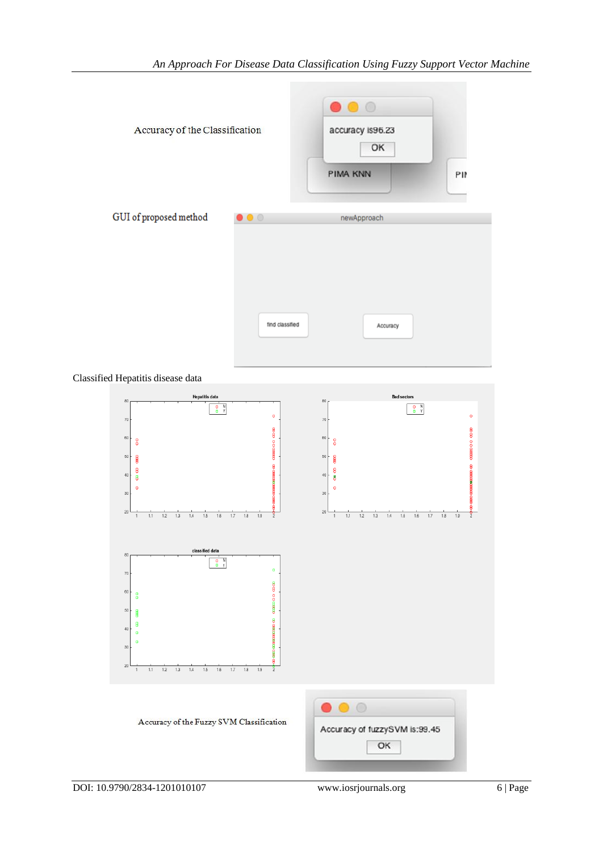

Classified Hepatitis disease data